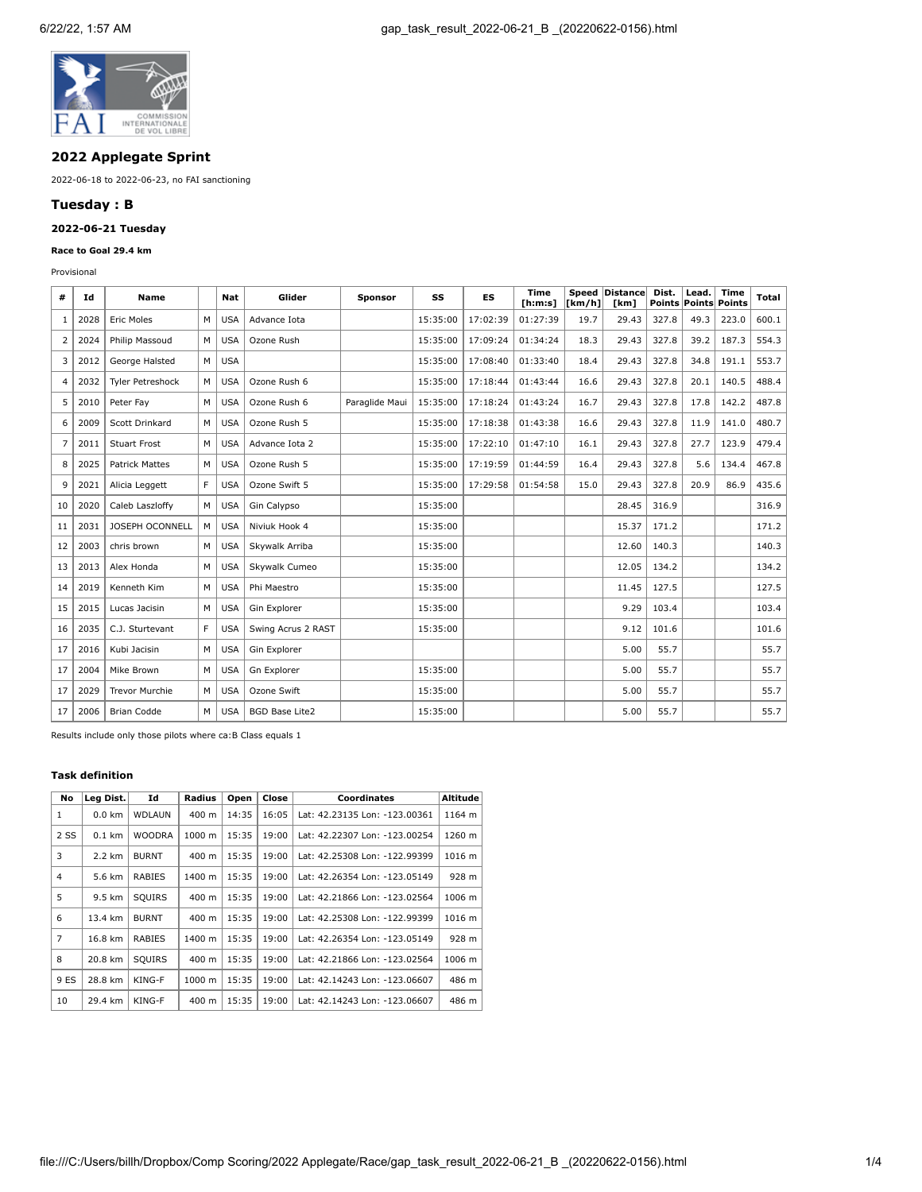

# **2022 Applegate Sprint**

2022-06-18 to 2022-06-23, no FAI sanctioning

## **Tuesday : B**

## **2022-06-21 Tuesday**

## **Race to Goal 29.4 km**

Provisional

| #  | Id   | Name                  |    | Nat        | Glider                | <b>Sponsor</b> | SS       | ES       | <b>Time</b><br>[ <b>h</b> : <b>m</b> : <b>s</b> ] | Speed<br>[km/h] | Distance<br>[km] | Dist.<br>Points | Lead. | <b>Time</b><br><b>Points Points</b> | Total |
|----|------|-----------------------|----|------------|-----------------------|----------------|----------|----------|---------------------------------------------------|-----------------|------------------|-----------------|-------|-------------------------------------|-------|
| 1  | 2028 | <b>Eric Moles</b>     | M  | <b>USA</b> | Advance Iota          |                | 15:35:00 | 17:02:39 | 01:27:39                                          | 19.7            | 29.43            | 327.8           | 49.3  | 223.0                               | 600.1 |
| 2  | 2024 | Philip Massoud        | M  | <b>USA</b> | Ozone Rush            |                | 15:35:00 | 17:09:24 | 01:34:24                                          | 18.3            | 29.43            | 327.8           | 39.2  | 187.3                               | 554.3 |
| 3  | 2012 | George Halsted        | M  | <b>USA</b> |                       |                | 15:35:00 | 17:08:40 | 01:33:40                                          | 18.4            | 29.43            | 327.8           | 34.8  | 191.1                               | 553.7 |
| 4  | 2032 | Tyler Petreshock      | M  | <b>USA</b> | Ozone Rush 6          |                | 15:35:00 | 17:18:44 | 01:43:44                                          | 16.6            | 29.43            | 327.8           | 20.1  | 140.5                               | 488.4 |
| 5  | 2010 | Peter Fav             | M  | <b>USA</b> | Ozone Rush 6          | Paraglide Maui | 15:35:00 | 17:18:24 | 01:43:24                                          | 16.7            | 29.43            | 327.8           | 17.8  | 142.2                               | 487.8 |
| 6  | 2009 | Scott Drinkard        | M  | <b>USA</b> | Ozone Rush 5          |                | 15:35:00 | 17:18:38 | 01:43:38                                          | 16.6            | 29.43            | 327.8           | 11.9  | 141.0                               | 480.7 |
| 7  | 2011 | <b>Stuart Frost</b>   | M  | <b>USA</b> | Advance Iota 2        |                | 15:35:00 | 17:22:10 | 01:47:10                                          | 16.1            | 29.43            | 327.8           | 27.7  | 123.9                               | 479.4 |
| 8  | 2025 | <b>Patrick Mattes</b> | M  | <b>USA</b> | Ozone Rush 5          |                | 15:35:00 | 17:19:59 | 01:44:59                                          | 16.4            | 29.43            | 327.8           | 5.6   | 134.4                               | 467.8 |
| 9  | 2021 | Alicia Leggett        | F. | <b>USA</b> | Ozone Swift 5         |                | 15:35:00 | 17:29:58 | 01:54:58                                          | 15.0            | 29.43            | 327.8           | 20.9  | 86.9                                | 435.6 |
| 10 | 2020 | Caleb Laszloffy       | M  | <b>USA</b> | Gin Calypso           |                | 15:35:00 |          |                                                   |                 | 28.45            | 316.9           |       |                                     | 316.9 |
| 11 | 2031 | JOSEPH OCONNELL       | M  | <b>USA</b> | Niviuk Hook 4         |                | 15:35:00 |          |                                                   |                 | 15.37            | 171.2           |       |                                     | 171.2 |
| 12 | 2003 | chris brown           | M  | <b>USA</b> | Skywalk Arriba        |                | 15:35:00 |          |                                                   |                 | 12.60            | 140.3           |       |                                     | 140.3 |
| 13 | 2013 | Alex Honda            | м  | <b>USA</b> | Skywalk Cumeo         |                | 15:35:00 |          |                                                   |                 | 12.05            | 134.2           |       |                                     | 134.2 |
| 14 | 2019 | Kenneth Kim           | M  | <b>USA</b> | Phi Maestro           |                | 15:35:00 |          |                                                   |                 | 11.45            | 127.5           |       |                                     | 127.5 |
| 15 | 2015 | Lucas Jacisin         | M  | <b>USA</b> | Gin Explorer          |                | 15:35:00 |          |                                                   |                 | 9.29             | 103.4           |       |                                     | 103.4 |
| 16 | 2035 | C.J. Sturtevant       | F. | <b>USA</b> | Swing Acrus 2 RAST    |                | 15:35:00 |          |                                                   |                 | 9.12             | 101.6           |       |                                     | 101.6 |
| 17 | 2016 | Kubi Jacisin          | M  | <b>USA</b> | Gin Explorer          |                |          |          |                                                   |                 | 5.00             | 55.7            |       |                                     | 55.7  |
| 17 | 2004 | Mike Brown            | M  | <b>USA</b> | Gn Explorer           |                | 15:35:00 |          |                                                   |                 | 5.00             | 55.7            |       |                                     | 55.7  |
| 17 | 2029 | <b>Trevor Murchie</b> | M  | <b>USA</b> | Ozone Swift           |                | 15:35:00 |          |                                                   |                 | 5.00             | 55.7            |       |                                     | 55.7  |
| 17 | 2006 | <b>Brian Codde</b>    | M  | USA        | <b>BGD Base Lite2</b> |                | 15:35:00 |          |                                                   |                 | 5.00             | 55.7            |       |                                     | 55.7  |

Results include only those pilots where ca:B Class equals 1

### **Task definition**

| No             | Leg Dist.        | Id            | Radius          | Open  | Close | <b>Coordinates</b>            | Altitude |
|----------------|------------------|---------------|-----------------|-------|-------|-------------------------------|----------|
| 1              | $0.0 \text{ km}$ | <b>WDLAUN</b> | 400 m           | 14:35 | 16:05 | Lat: 42.23135 Lon: -123.00361 | 1164 m   |
| 2 SS           | $0.1$ km         | <b>WOODRA</b> | 1000 m          | 15:35 | 19:00 | Lat: 42.22307 Lon: -123.00254 | 1260 m   |
| 3              | 2.2 km           | <b>BURNT</b>  | 400 m           | 15:35 | 19:00 | Lat: 42.25308 Lon: -122.99399 | 1016 m   |
| $\overline{4}$ | 5.6 km           | <b>RABIES</b> | 1400 m          | 15:35 | 19:00 | Lat: 42.26354 Lon: -123.05149 | 928 m    |
| 5              | 9.5 km           | SQUIRS        | 400 m           | 15:35 | 19:00 | Lat: 42.21866 Lon: -123.02564 | 1006 m   |
| 6              | 13.4 km          | <b>BURNT</b>  | 400 m           | 15:35 | 19:00 | Lat: 42.25308 Lon: -122.99399 | 1016 m   |
| 7              | 16.8 km          | RABIES        | 1400 m          | 15:35 | 19:00 | Lat: 42.26354 Lon: -123.05149 | 928 m    |
| 8              | 20.8 km          | SOUIRS        | $400 \text{ m}$ | 15:35 | 19:00 | Lat: 42.21866 Lon: -123.02564 | 1006 m   |
| 9 ES           | 28.8 km          | KING-F        | 1000 m          | 15:35 | 19:00 | Lat: 42.14243 Lon: -123.06607 | 486 m    |
| 10             | 29.4 km          | KING-F        | 400 m           | 15:35 | 19:00 | Lat: 42.14243 Lon: -123.06607 | 486 m    |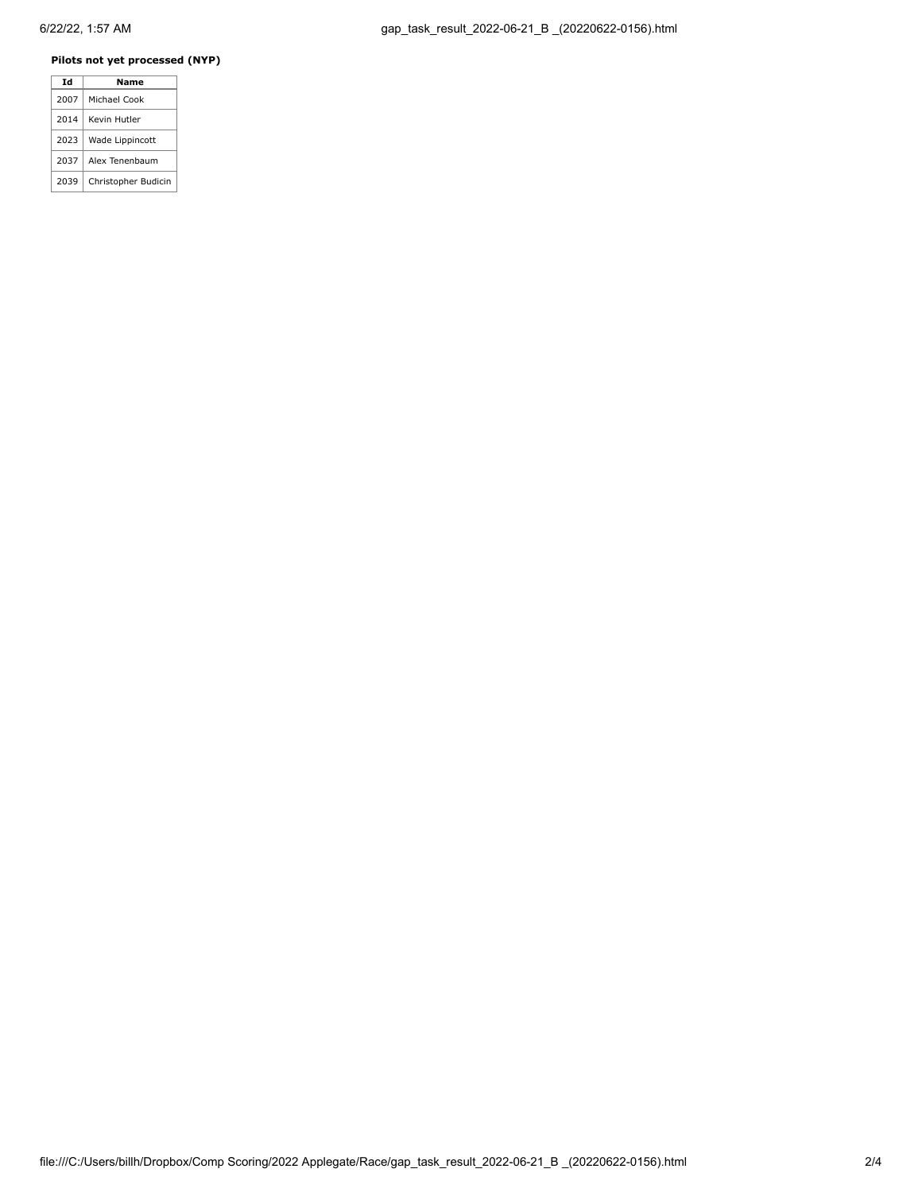# **Pilots not yet processed (NYP)**

| Td   | Name                |
|------|---------------------|
| 2007 | Michael Cook        |
| 2014 | Kevin Hutler        |
| 2023 | Wade Lippincott     |
| 2037 | Alex Tenenbaum      |
| 2039 | Christopher Budicin |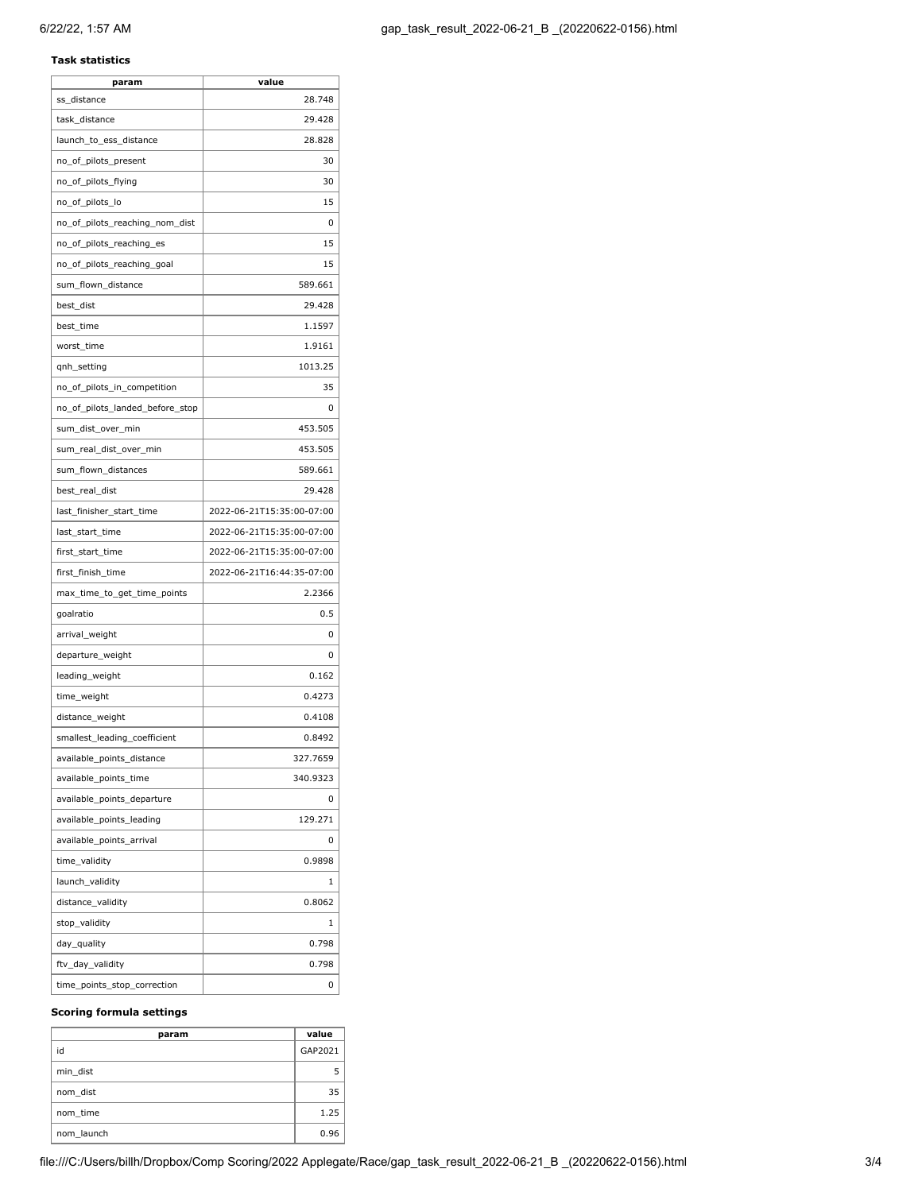## **Task statistics**

| param                           | value                     |
|---------------------------------|---------------------------|
| ss distance                     | 28.748                    |
| task_distance                   | 29.428                    |
| launch_to_ess_distance          | 28.828                    |
| no_of_pilots_present            | 30                        |
| no_of_pilots_flying             | 30                        |
| no_of_pilots_lo                 | 15                        |
| no_of_pilots_reaching_nom_dist  | 0                         |
| no_of_pilots_reaching_es        | 15                        |
| no_of_pilots_reaching_goal      | 15                        |
| sum_flown_distance              | 589.661                   |
| best_dist                       | 29.428                    |
| best_time                       | 1.1597                    |
| worst_time                      | 1.9161                    |
| qnh_setting                     | 1013.25                   |
| no_of_pilots_in_competition     | 35                        |
| no_of_pilots_landed_before_stop | 0                         |
| sum_dist_over_min               | 453.505                   |
| sum_real_dist_over_min          | 453.505                   |
| sum_flown_distances             | 589.661                   |
| best_real_dist                  | 29.428                    |
| last_finisher_start_time        | 2022-06-21T15:35:00-07:00 |
| last_start_time                 | 2022-06-21T15:35:00-07:00 |
| first_start_time                | 2022-06-21T15:35:00-07:00 |
| first_finish_time               | 2022-06-21T16:44:35-07:00 |
| max_time_to_get_time_points     | 2.2366                    |
| goalratio                       | 0.5                       |
| arrival_weight                  | 0                         |
| departure_weight                | 0                         |
| leading_weight                  | 0.162                     |
| time_weight                     | 0.4273                    |
| distance_weight                 | 0.4108                    |
| smallest_leading_coefficient    | 0.8492                    |
| available_points_distance       | 327.7659                  |
| available_points_time           | 340.9323                  |
| available_points_departure      | 0                         |
| available_points_leading        | 129.271                   |
| available_points_arrival        | 0                         |
| time_validity                   | 0.9898                    |
| launch validity                 | 1                         |
| distance_validity               | 0.8062                    |
| stop_validity                   | 1                         |
| day_quality                     | 0.798                     |
| ftv_day_validity                | 0.798                     |
| time_points_stop_correction     | 0                         |
|                                 |                           |

### **Scoring formula settings**

| param      | value   |
|------------|---------|
| id         | GAP2021 |
| min dist   |         |
| nom dist   | 35      |
| nom time   | 1.25    |
| nom launch | 0.96    |